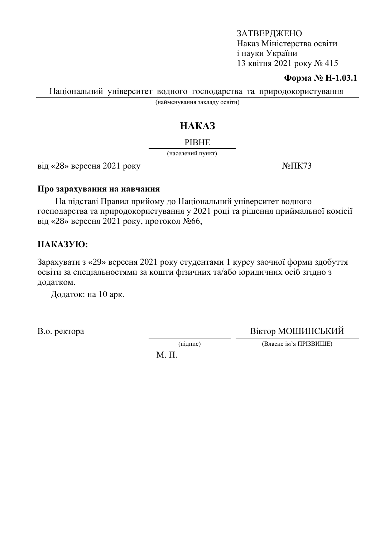#### **Форма № Н-1.03.1**

Національний університет водного господарства та природокористування

(найменування закладу освіти)

# HAKA3

#### **PIBHE**

(населений пункт)

 $\overline{Bi\mu}$  «28» вересня 2021 року  $\overline{Ne\pi}$ 

#### Про зарахування на навчання

На підставі Правил прийому до Національний університет водного господарства та природокористування у 2021 році та рішення приймальної комісії від «28» вересня 2021 року, протокол  $N$ 266,

## HAKA3YIO:

Зарахувати з «29» вересня 2021 року студентами 1 курсу заочної форми здобуття освіти за спеціальностями за кошти фізичних та/або юридичних осіб згідно з додатком.

Додаток: на 10 арк.

В.о. ректора Віктор МОШИНСЬКИЙ

(підпис) (Власне ім'я ПРІЗВИЩЕ)

М. П.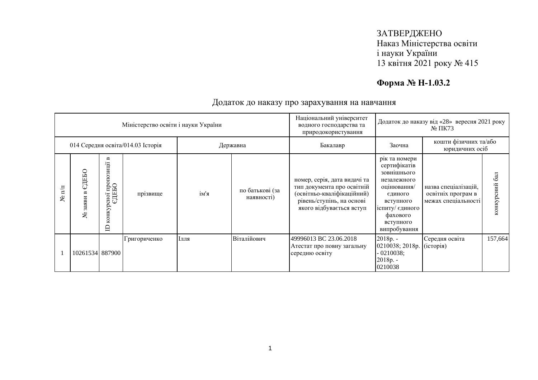# **Форма № Н-1.03.2**

|                      |                                               |                                                                                      | Міністерство освіти і науки України |      |                               | Національний університет<br>водного господарства та<br>природокористування                                                                        |                                                                                                                                                                | Додаток до наказу від «28» вересня 2021 року<br>$N2 \Pi K73$      |                  |
|----------------------|-----------------------------------------------|--------------------------------------------------------------------------------------|-------------------------------------|------|-------------------------------|---------------------------------------------------------------------------------------------------------------------------------------------------|----------------------------------------------------------------------------------------------------------------------------------------------------------------|-------------------------------------------------------------------|------------------|
|                      | 014 Середня освіта/014.03 Історія<br>Державна |                                                                                      |                                     |      |                               | Бакалавр                                                                                                                                          | Заочна                                                                                                                                                         | кошти фізичних та/або<br>юридичних осіб                           |                  |
| $N$ <sup>2</sup> π/π | ДЕБО<br>заяви<br>يع                           | $\mathbf{m}$<br>і пропозиції і<br>ЗБО<br><b>EIE</b><br>сної<br>конкур<br>$\triangle$ | прізвище                            | ім'я | по батькові (за<br>наявності) | номер, серія, дата видачі та<br>тип документа про освітній<br>(освітньо-кваліфікаційний)<br>рівень/ступінь, на основі<br>якого відбувається вступ | рік та номери<br>сертифікатів<br>зовнішнього<br>незалежного<br>оцінювання/<br>єдиного<br>вступного<br>іспиту/ єдиного<br>фахового<br>вступного<br>випробування | назва спеціалізацій,<br>освітніх програм в<br>межах спеціальності | 6a<br>конкурсний |
|                      | 10261534 887900                               |                                                                                      | Григориченко                        | Ілля | Віталійович                   | 49996013 BC 23.06.2018<br>Атестат про повну загальну<br>середню освіту                                                                            | $2018p. -$<br>0210038; 2018p.<br>$-0210038;$<br>2018p. -<br>0210038                                                                                            | Середня освіта<br>$\left($ ic $\tau$ орія)                        | 157,664          |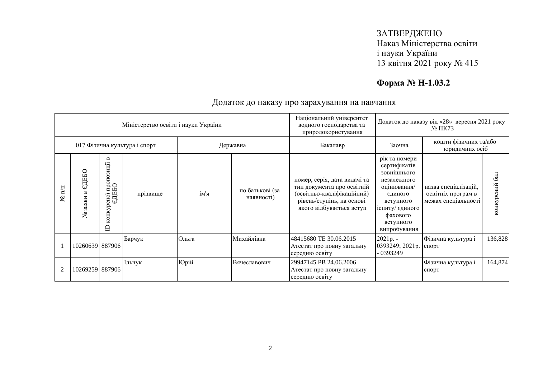# **Форма № Н-1.03.2**

|                  |                    |                                                                      | Міністерство освіти і науки України |       |                               | Національний університет<br>водного господарства та<br>природокористування                                                                        |                                                                                                                                                                | Додаток до наказу від «28» вересня 2021 року<br>$N2 \Pi K73$      |                  |
|------------------|--------------------|----------------------------------------------------------------------|-------------------------------------|-------|-------------------------------|---------------------------------------------------------------------------------------------------------------------------------------------------|----------------------------------------------------------------------------------------------------------------------------------------------------------------|-------------------------------------------------------------------|------------------|
|                  |                    |                                                                      | 017 Фізична культура і спорт        |       | Державна                      | Бакалавр                                                                                                                                          | Заочна                                                                                                                                                         | кошти фізичних та/або<br>юридичних осіб                           |                  |
| $\mathbf{N}$ π/π | ДЕБО<br>заяви<br>٤ | $\mathbf{m}$<br>рсної пропозиції в<br>ЄДЕБО<br>конкур<br>$\triangle$ | прізвище                            | ім'я  | по батькові (за<br>наявності) | номер, серія, дата видачі та<br>тип документа про освітній<br>(освітньо-кваліфікаційний)<br>рівень/ступінь, на основі<br>якого відбувається вступ | рік та номери<br>сертифікатів<br>зовнішнього<br>незалежного<br>оцінювання/<br>єдиного<br>вступного<br>іспиту/ єдиного<br>фахового<br>вступного<br>випробування | назва спеціалізацій,<br>освітніх програм в<br>межах спеціальності | 6a<br>конкурсний |
|                  | 10260639 887906    |                                                                      | Барчук                              | Ольга | Михайлівна                    | 48415680 TE 30.06.2015<br>Атестат про повну загальну<br>середню освіту                                                                            | 2021p. -<br>0393249; 2021p.<br>- 0393249                                                                                                                       | Фізична культура і<br>спорт                                       | 136,828          |
| 2                | 10269259 887906    |                                                                      | Ільчук                              | Юрій  | Вячеславович                  | 29947145 PB 24.06.2006<br>Атестат про повну загальну<br>середню освіту                                                                            |                                                                                                                                                                | Фізична культура і<br>спорт                                       | 164,874          |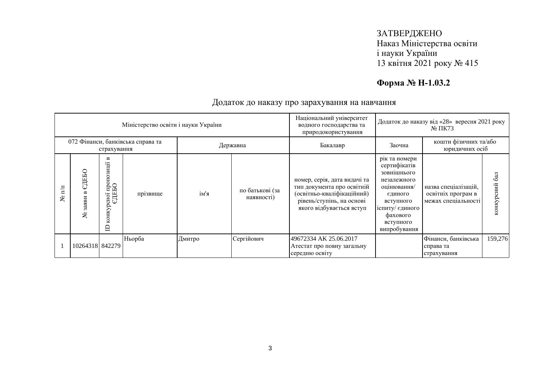# **Форма № Н-1.03.2**

|                   |                           |                                                   | Міністерство освіти і науки України |          |                               | Національний університет<br>водного господарства та<br>природокористування                                                                        |                                                                                                                                                                | Додаток до наказу від «28» вересня 2021 року<br>$N2 \Pi K73$      |                  |
|-------------------|---------------------------|---------------------------------------------------|-------------------------------------|----------|-------------------------------|---------------------------------------------------------------------------------------------------------------------------------------------------|----------------------------------------------------------------------------------------------------------------------------------------------------------------|-------------------------------------------------------------------|------------------|
|                   |                           | страхування                                       | 072 Фінанси, банківська справа та   | Державна |                               | Бакалавр                                                                                                                                          | Заочна                                                                                                                                                         | кошти фізичних та/або<br>юридичних осіб                           |                  |
| $\mathbf{m}$<br>ৼ | едеью<br>32 <b>X</b><br>ৼ | ≃<br>зиції<br>оно1 пропоз<br>СДЕБО<br>конкур<br>⊟ | прізвище                            | ім'я     | по батькові (за<br>наявності) | номер, серія, дата видачі та<br>тип документа про освітній<br>(освітньо-кваліфікаційний)<br>рівень/ступінь, на основі<br>якого відбувається вступ | рік та номери<br>сертифікатів<br>зовнішнього<br>незалежного<br>оцінювання/<br>єдиного<br>вступного<br>іспиту/ єдиного<br>фахового<br>вступного<br>випробування | назва спеціалізацій,<br>освітніх програм в<br>межах спеціальності | 6a<br>конкурсний |
|                   | 10264318 842279           |                                                   | Ньорба                              | Дмитро   | Сергійович                    | 49672334 AK 25.06.2017<br>Атестат про повну загальну<br>середню освіту                                                                            |                                                                                                                                                                | Фінанси, банківська<br>справа та<br>страхування                   | 159,276          |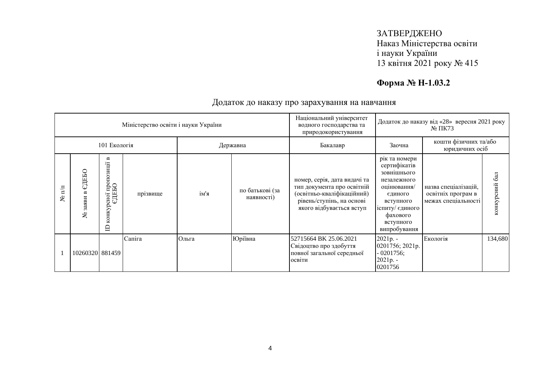# **Форма № Н-1.03.2**

|                   |                               |                                                           | Міністерство освіти і науки України |       |                               | Національний університет<br>водного господарства та<br>природокористування                                                                        |                                                                                                                                                                | Додаток до наказу від «28» вересня 2021 року<br>$N2 \Pi K73$      |                  |
|-------------------|-------------------------------|-----------------------------------------------------------|-------------------------------------|-------|-------------------------------|---------------------------------------------------------------------------------------------------------------------------------------------------|----------------------------------------------------------------------------------------------------------------------------------------------------------------|-------------------------------------------------------------------|------------------|
|                   |                               | 101 Екологія                                              |                                     |       | Державна                      | Бакалавр                                                                                                                                          | Заочна                                                                                                                                                         | кошти фізичних та/або<br>юридичних осіб                           |                  |
| $\mathbb{E}$<br>ع | ДЕБО<br>Cı)<br>ВИ<br>335<br>ع | Б<br>лено1 пропозиції і<br>ЄДЕБО<br>конкур<br>$\triangle$ | прізвище                            | ім'я  | по батькові (за<br>наявності) | номер, серія, дата видачі та<br>тип документа про освітній<br>(освітньо-кваліфікаційний)<br>рівень/ступінь, на основі<br>якого відбувається вступ | рік та номери<br>сертифікатів<br>зовнішнього<br>незалежного<br>оцінювання/<br>єдиного<br>вступного<br>іспиту/ єдиного<br>фахового<br>вступного<br>випробування | назва спеціалізацій,<br>освітніх програм в<br>межах спеціальності | 6a<br>конкурсний |
|                   | 10260320 881459               |                                                           | Сапіга                              | Ольга | Юріївна                       | 52715664 BK 25.06.2021<br>Свідоцтво про здобуття<br>повної загальної середньої<br>освіти                                                          | 2021p. -<br>0201756; 2021p.<br>$-0201756;$<br>2021p. -<br>0201756                                                                                              | Екологія                                                          | 134,680          |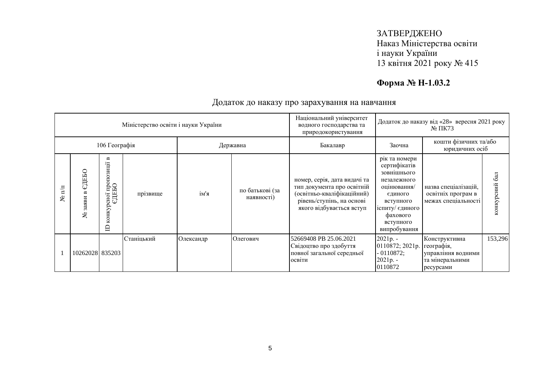# **Форма № Н-1.03.2**

|                      |                           |                                                      | Міністерство освіти і науки України |           |                               | Національний університет<br>водного господарства та<br>природокористування                                                                        | Додаток до наказу від «28» вересня 2021 року<br>$N2 \Pi K73$                                                                                                   |                                                                                   |                  |
|----------------------|---------------------------|------------------------------------------------------|-------------------------------------|-----------|-------------------------------|---------------------------------------------------------------------------------------------------------------------------------------------------|----------------------------------------------------------------------------------------------------------------------------------------------------------------|-----------------------------------------------------------------------------------|------------------|
|                      | 106 Географія<br>Державна |                                                      |                                     |           |                               | Бакалавр                                                                                                                                          | Заочна                                                                                                                                                         | кошти фізичних та/або<br>юридичних осіб                                           |                  |
| $N$ <sup>2</sup> π/π | ДЕБО<br>Cı)<br>заяви<br>٤ | Б<br>пропозиції<br>едньо<br>сної<br>конкур<br>$\Box$ | прізвище                            | ім'я      | по батькові (за<br>наявності) | номер, серія, дата видачі та<br>тип документа про освітній<br>(освітньо-кваліфікаційний)<br>рівень/ступінь, на основі<br>якого відбувається вступ | рік та номери<br>сертифікатів<br>зовнішнього<br>незалежного<br>оцінювання/<br>єдиного<br>вступного<br>іспиту/ єдиного<br>фахового<br>вступного<br>випробування | назва спеціалізацій,<br>освітніх програм в<br>межах спеціальності                 | 6a<br>конкурсний |
|                      | 10262028 835203           |                                                      | Станіцький                          | Олександр | Олегович                      | 52669408 PB 25.06.2021<br>Свідоцтво про здобуття<br>повної загальної середньої<br>освіти                                                          | $2021p. -$<br>0110872; 2021p.<br>$-0110872;$<br>$2021p. -$<br>0110872                                                                                          | Конструктивна<br>географія,<br>управління водними<br>та мінеральними<br>ресурсами | 153,296          |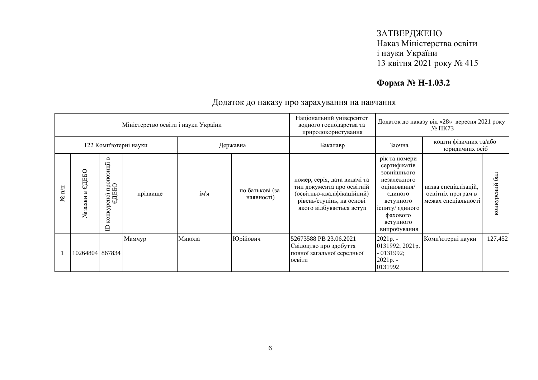# **Форма № Н-1.03.2**

|                   |                                   |                                                           | Міністерство освіти і науки України |        |                               | Національний університет<br>водного господарства та<br>природокористування                                                                        |                                                                                                                                                                | Додаток до наказу від «28» вересня 2021 року<br>$N2 \Pi K73$      |                  |
|-------------------|-----------------------------------|-----------------------------------------------------------|-------------------------------------|--------|-------------------------------|---------------------------------------------------------------------------------------------------------------------------------------------------|----------------------------------------------------------------------------------------------------------------------------------------------------------------|-------------------------------------------------------------------|------------------|
|                   | 122 Комп'ютерні науки<br>Державна |                                                           |                                     |        |                               | Бакалавр                                                                                                                                          | Заочна                                                                                                                                                         | кошти фізичних та/або<br>юридичних осіб                           |                  |
| $\mathbb{E}$<br>ع | ДЕБО<br>Cı)<br>335<br>٤           | Б<br>осної пропозиції і<br>ЄДЕБО<br>конкур<br>$\triangle$ | прізвище                            | ім'я   | по батькові (за<br>наявності) | номер, серія, дата видачі та<br>тип документа про освітній<br>(освітньо-кваліфікаційний)<br>рівень/ступінь, на основі<br>якого відбувається вступ | рік та номери<br>сертифікатів<br>зовнішнього<br>незалежного<br>оцінювання/<br>єдиного<br>вступного<br>іспиту/ єдиного<br>фахового<br>вступного<br>випробування | назва спеціалізацій,<br>освітніх програм в<br>межах спеціальності | 6a<br>конкурсний |
|                   | 10264804 867834                   |                                                           | Мамчур                              | Микола | Юрійович                      | 52673588 PB 23.06.2021<br>Свідоцтво про здобуття<br>повної загальної середньої<br>освіти                                                          | 2021p. -<br>0131992; 2021p.<br>$-0131992;$<br>2021p. -<br>0131992                                                                                              | Комп'ютерні науки                                                 | 127,452          |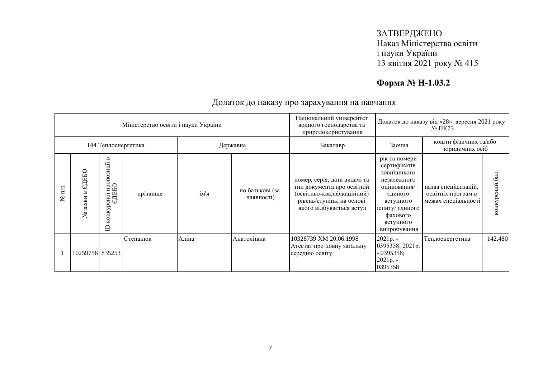# **Форма № Н-1.03.2**

|                   |                                 |                                                            | Міністерство освіти і науки України |       |                               | Національний університет<br>водного господарства та<br>природокористування                                                                        | Додаток до наказу від «28» вересня 2021 року<br>$N2 \Pi K73$                                                                                                   |                                                                   |                |
|-------------------|---------------------------------|------------------------------------------------------------|-------------------------------------|-------|-------------------------------|---------------------------------------------------------------------------------------------------------------------------------------------------|----------------------------------------------------------------------------------------------------------------------------------------------------------------|-------------------------------------------------------------------|----------------|
|                   | 144 Теплоенергетика<br>Державна |                                                            |                                     |       |                               | Бакалавр                                                                                                                                          | Заочна                                                                                                                                                         | кошти фізичних та/або<br>юридичних осіб                           |                |
| $\mathbb{I}$<br>ع | ДЕБО<br>Cı)<br>заяви<br>٤       | Б<br>пропозиції<br>едньо<br>сної<br>конкур<br>$\mathsf{D}$ | прізвище                            | ім'я  | по батькові (за<br>наявності) | номер, серія, дата видачі та<br>тип документа про освітній<br>(освітньо-кваліфікаційний)<br>рівень/ступінь, на основі<br>якого відбувається вступ | рік та номери<br>сертифікатів<br>зовнішнього<br>незалежного<br>оцінювання/<br>єдиного<br>вступного<br>іспиту/ єдиного<br>фахового<br>вступного<br>випробування | назва спеціалізацій,<br>освітніх програм в<br>межах спеціальності | конкурсний бал |
|                   | 10259756 835253                 |                                                            | Степанюк                            | Аліна | Анатоліївна                   | 10328739 XM 20.06.1998<br>Атестат про повну загальну<br>середню освіту                                                                            | 2021p. -<br>0395358; 2021p.<br>$-0395358;$<br>2021p. -<br>0395358                                                                                              | Теплоенергетика                                                   | 142,480        |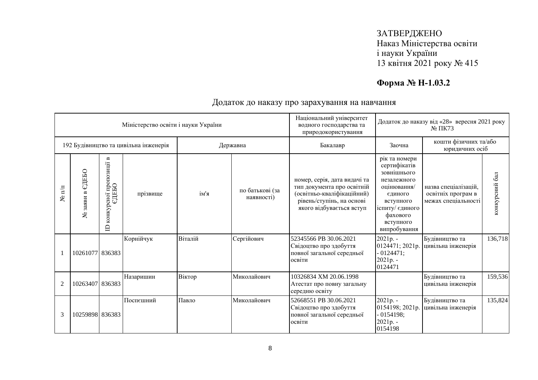# **Форма № Н-1.03.2**

|                  |                       |                                                                      | Міністерство освіти і науки України   |         |                               | Національний університет<br>водного господарства та<br>природокористування                                                                        | Додаток до наказу від «28» вересня 2021 року<br>$N2 \Pi K73$                                                                                                   |                                                                   |                      |
|------------------|-----------------------|----------------------------------------------------------------------|---------------------------------------|---------|-------------------------------|---------------------------------------------------------------------------------------------------------------------------------------------------|----------------------------------------------------------------------------------------------------------------------------------------------------------------|-------------------------------------------------------------------|----------------------|
|                  |                       |                                                                      | 192 Будівництво та цивільна інженерія |         | Державна                      | Бакалавр                                                                                                                                          | Заочна                                                                                                                                                         | кошти фізичних та/або<br>юридичних осіб                           |                      |
| $\mathbf{N}$ π/π | СДЕБО<br>заяви в<br>ع | $\mathbf{m}$<br>пропозиції<br>едньо<br>сної<br>конкур<br>$\triangle$ | прізвище                              | ім'я    | по батькові (за<br>наявності) | номер, серія, дата видачі та<br>тип документа про освітній<br>(освітньо-кваліфікаційний)<br>рівень/ступінь, на основі<br>якого відбувається вступ | рік та номери<br>сертифікатів<br>зовнішнього<br>незалежного<br>оцінювання/<br>єдиного<br>вступного<br>іспиту/ єдиного<br>фахового<br>вступного<br>випробування | назва спеціалізацій.<br>освітніх програм в<br>межах спеціальності | $6a$ л<br>конкурсний |
|                  | 10261077 836383       |                                                                      | Корнійчук                             | Віталій | Сергійович                    | 52345566 PB 30.06.2021<br>Свідоцтво про здобуття<br>повної загальної середньої<br>освіти                                                          | 2021p. -<br>0124471; 2021p.<br>$-0124471;$<br>2021p. -<br>0124471                                                                                              | Будівництво та<br>цивільна інженерія                              | 136,718              |
| $\overline{2}$   | 10263407 836383       |                                                                      | Назаришин                             | Віктор  | Миколайович                   | 10326834 XM 20.06.1998<br>Атестат про повну загальну<br>середню освіту                                                                            |                                                                                                                                                                | Будівництво та<br>цивільна інженерія                              | 159,536              |
| 3                | 10259898 836383       |                                                                      | Поспешний                             | Павло   | Миколайович                   | 52668551 PB 30.06.2021<br>Свідоцтво про здобуття<br>повної загальної середньої<br>освіти                                                          | 2021p. -<br>0154198; 2021p.<br>$-0154198;$<br>2021p. -<br>0154198                                                                                              | Будівництво та<br>цивільна інженерія                              | 135,824              |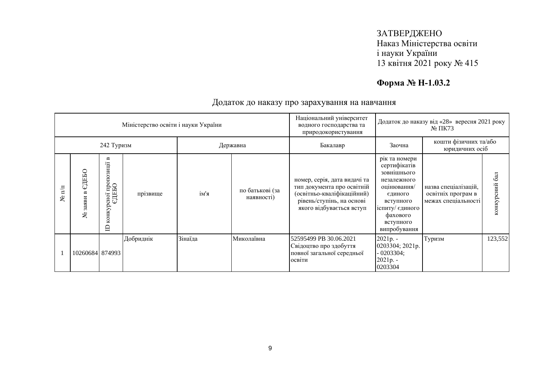# **Форма № Н-1.03.2**

|                   |                    |                                                                      | Міністерство освіти і науки України |         |                               | Національний університет<br>водного господарства та<br>природокористування                                                                        |                                                                                                                                                                | Додаток до наказу від «28» вересня 2021 року<br>$N2 \Pi K73$      |                  |
|-------------------|--------------------|----------------------------------------------------------------------|-------------------------------------|---------|-------------------------------|---------------------------------------------------------------------------------------------------------------------------------------------------|----------------------------------------------------------------------------------------------------------------------------------------------------------------|-------------------------------------------------------------------|------------------|
|                   |                    | 242 Туризм                                                           |                                     |         | Державна                      | Бакалавр                                                                                                                                          | Заочна                                                                                                                                                         | кошти фізичних та/або<br>юридичних осіб                           |                  |
| $\mathbb{I}$<br>ع | ДЕБО<br>заяви<br>٤ | $\mathbf{m}$<br>осної пропозиції і<br>ЄДЕБО<br>конкур<br>$\triangle$ | прізвище                            | ім'я    | по батькові (за<br>наявності) | номер, серія, дата видачі та<br>тип документа про освітній<br>(освітньо-кваліфікаційний)<br>рівень/ступінь, на основі<br>якого відбувається вступ | рік та номери<br>сертифікатів<br>зовнішнього<br>незалежного<br>оцінювання/<br>єдиного<br>вступного<br>іспиту/ єдиного<br>фахового<br>вступного<br>випробування | назва спеціалізацій,<br>освітніх програм в<br>межах спеціальності | 6a<br>конкурсний |
|                   | 10260684 874993    |                                                                      | Добриднік                           | Зінаїда | Миколаївна                    | 52595499 PB 30.06.2021<br>Свідоцтво про здобуття<br>повної загальної середньої<br>освіти                                                          | 2021p. -<br>0203304; 2021p.<br>$-0203304;$<br>2021p. -<br>0203304                                                                                              | Туризм                                                            | 123,552          |